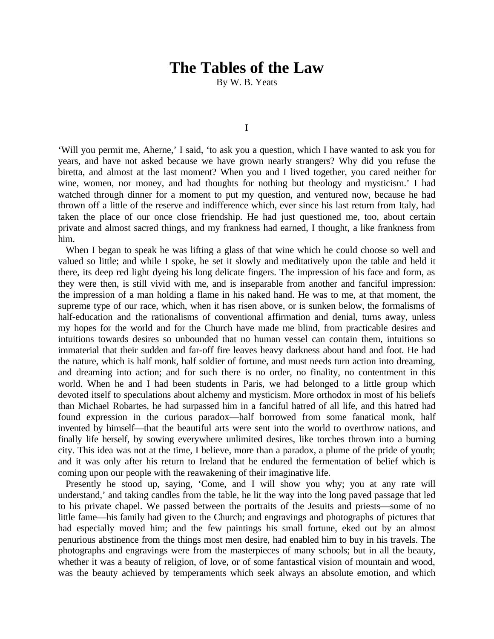## **The Tables of the Law**

By W. B. Yeats

I

'Will you permit me, Aherne,' I said, 'to ask you a question, which I have wanted to ask you for years, and have not asked because we have grown nearly strangers? Why did you refuse the biretta, and almost at the last moment? When you and I lived together, you cared neither for wine, women, nor money, and had thoughts for nothing but theology and mysticism.' I had watched through dinner for a moment to put my question, and ventured now, because he had thrown off a little of the reserve and indifference which, ever since his last return from Italy, had taken the place of our once close friendship. He had just questioned me, too, about certain private and almost sacred things, and my frankness had earned, I thought, a like frankness from him.

When I began to speak he was lifting a glass of that wine which he could choose so well and valued so little; and while I spoke, he set it slowly and meditatively upon the table and held it there, its deep red light dyeing his long delicate fingers. The impression of his face and form, as they were then, is still vivid with me, and is inseparable from another and fanciful impression: the impression of a man holding a flame in his naked hand. He was to me, at that moment, the supreme type of our race, which, when it has risen above, or is sunken below, the formalisms of half-education and the rationalisms of conventional affirmation and denial, turns away, unless my hopes for the world and for the Church have made me blind, from practicable desires and intuitions towards desires so unbounded that no human vessel can contain them, intuitions so immaterial that their sudden and far-off fire leaves heavy darkness about hand and foot. He had the nature, which is half monk, half soldier of fortune, and must needs turn action into dreaming, and dreaming into action; and for such there is no order, no finality, no contentment in this world. When he and I had been students in Paris, we had belonged to a little group which devoted itself to speculations about alchemy and mysticism. More orthodox in most of his beliefs than Michael Robartes, he had surpassed him in a fanciful hatred of all life, and this hatred had found expression in the curious paradox—half borrowed from some fanatical monk, half invented by himself—that the beautiful arts were sent into the world to overthrow nations, and finally life herself, by sowing everywhere unlimited desires, like torches thrown into a burning city. This idea was not at the time, I believe, more than a paradox, a plume of the pride of youth; and it was only after his return to Ireland that he endured the fermentation of belief which is coming upon our people with the reawakening of their imaginative life.

Presently he stood up, saying, 'Come, and I will show you why; you at any rate will understand,' and taking candles from the table, he lit the way into the long paved passage that led to his private chapel. We passed between the portraits of the Jesuits and priests—some of no little fame—his family had given to the Church; and engravings and photographs of pictures that had especially moved him; and the few paintings his small fortune, eked out by an almost penurious abstinence from the things most men desire, had enabled him to buy in his travels. The photographs and engravings were from the masterpieces of many schools; but in all the beauty, whether it was a beauty of religion, of love, or of some fantastical vision of mountain and wood, was the beauty achieved by temperaments which seek always an absolute emotion, and which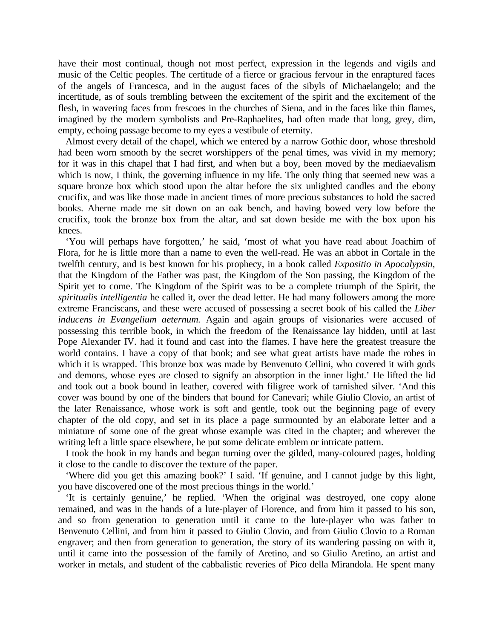have their most continual, though not most perfect, expression in the legends and vigils and music of the Celtic peoples. The certitude of a fierce or gracious fervour in the enraptured faces of the angels of Francesca, and in the august faces of the sibyls of Michaelangelo; and the incertitude, as of souls trembling between the excitement of the spirit and the excitement of the flesh, in wavering faces from frescoes in the churches of Siena, and in the faces like thin flames, imagined by the modern symbolists and Pre-Raphaelites, had often made that long, grey, dim, empty, echoing passage become to my eyes a vestibule of eternity.

Almost every detail of the chapel, which we entered by a narrow Gothic door, whose threshold had been worn smooth by the secret worshippers of the penal times, was vivid in my memory; for it was in this chapel that I had first, and when but a boy, been moved by the mediaevalism which is now, I think, the governing influence in my life. The only thing that seemed new was a square bronze box which stood upon the altar before the six unlighted candles and the ebony crucifix, and was like those made in ancient times of more precious substances to hold the sacred books. Aherne made me sit down on an oak bench, and having bowed very low before the crucifix, took the bronze box from the altar, and sat down beside me with the box upon his knees.

'You will perhaps have forgotten,' he said, 'most of what you have read about Joachim of Flora, for he is little more than a name to even the well-read. He was an abbot in Cortale in the twelfth century, and is best known for his prophecy, in a book called *Expositio in Apocalypsin,*  that the Kingdom of the Father was past, the Kingdom of the Son passing, the Kingdom of the Spirit yet to come. The Kingdom of the Spirit was to be a complete triumph of the Spirit, the *spiritualis intelligentia* he called it, over the dead letter. He had many followers among the more extreme Franciscans, and these were accused of possessing a secret book of his called the *Liber inducens in Evangelium aeternum.* Again and again groups of visionaries were accused of possessing this terrible book, in which the freedom of the Renaissance lay hidden, until at last Pope Alexander IV. had it found and cast into the flames. I have here the greatest treasure the world contains. I have a copy of that book; and see what great artists have made the robes in which it is wrapped. This bronze box was made by Benvenuto Cellini, who covered it with gods and demons, whose eyes are closed to signify an absorption in the inner light.' He lifted the lid and took out a book bound in leather, covered with filigree work of tarnished silver. 'And this cover was bound by one of the binders that bound for Canevari; while Giulio Clovio, an artist of the later Renaissance, whose work is soft and gentle, took out the beginning page of every chapter of the old copy, and set in its place a page surmounted by an elaborate letter and a miniature of some one of the great whose example was cited in the chapter; and wherever the writing left a little space elsewhere, he put some delicate emblem or intricate pattern.

I took the book in my hands and began turning over the gilded, many-coloured pages, holding it close to the candle to discover the texture of the paper.

'Where did you get this amazing book?' I said. 'If genuine, and I cannot judge by this light, you have discovered one of the most precious things in the world.'

'It is certainly genuine,' he replied. 'When the original was destroyed, one copy alone remained, and was in the hands of a lute-player of Florence, and from him it passed to his son, and so from generation to generation until it came to the lute-player who was father to Benvenuto Cellini, and from him it passed to Giulio Clovio, and from Giulio Clovio to a Roman engraver; and then from generation to generation, the story of its wandering passing on with it, until it came into the possession of the family of Aretino, and so Giulio Aretino, an artist and worker in metals, and student of the cabbalistic reveries of Pico della Mirandola. He spent many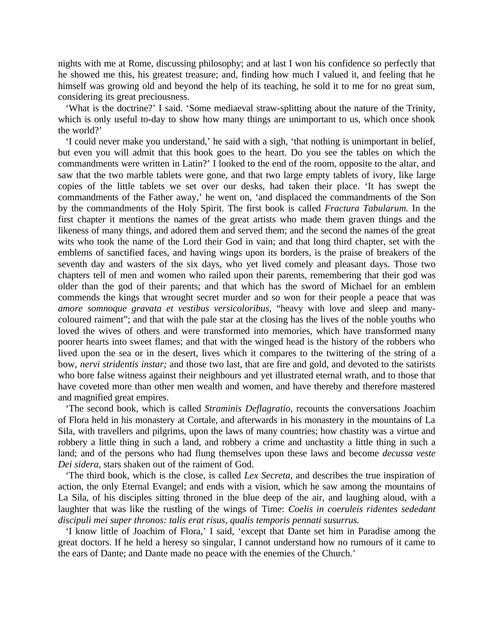nights with me at Rome, discussing philosophy; and at last I won his confidence so perfectly that he showed me this, his greatest treasure; and, finding how much I valued it, and feeling that he himself was growing old and beyond the help of its teaching, he sold it to me for no great sum, considering its great preciousness.

'What is the doctrine?' I said. 'Some mediaeval straw-splitting about the nature of the Trinity, which is only useful to-day to show how many things are unimportant to us, which once shook the world?'

'I could never make you understand,' he said with a sigh, 'that nothing is unimportant in belief, but even you will admit that this book goes to the heart. Do you see the tables on which the commandments were written in Latin?' I looked to the end of the room, opposite to the altar, and saw that the two marble tablets were gone, and that two large empty tablets of ivory, like large copies of the little tablets we set over our desks, had taken their place. 'It has swept the commandments of the Father away,' he went on, 'and displaced the commandments of the Son by the commandments of the Holy Spirit. The first book is called *Fractura Tabularum.* In the first chapter it mentions the names of the great artists who made them graven things and the likeness of many things, and adored them and served them; and the second the names of the great wits who took the name of the Lord their God in vain; and that long third chapter, set with the emblems of sanctified faces, and having wings upon its borders, is the praise of breakers of the seventh day and wasters of the six days, who yet lived comely and pleasant days. Those two chapters tell of men and women who railed upon their parents, remembering that their god was older than the god of their parents; and that which has the sword of Michael for an emblem commends the kings that wrought secret murder and so won for their people a peace that was *amore somnoque gravata et vestibus versicoloribus,* "heavy with love and sleep and manycoloured raiment"; and that with the pale star at the closing has the lives of the noble youths who loved the wives of others and were transformed into memories, which have transformed many poorer hearts into sweet flames; and that with the winged head is the history of the robbers who lived upon the sea or in the desert, lives which it compares to the twittering of the string of a bow, *nervi stridentis instar;* and those two last, that are fire and gold, and devoted to the satirists who bore false witness against their neighbours and yet illustrated eternal wrath, and to those that have coveted more than other men wealth and women, and have thereby and therefore mastered and magnified great empires.

'The second book, which is called *Straminis Deflagratio,* recounts the conversations Joachim of Flora held in his monastery at Cortale, and afterwards in his monastery in the mountains of La Sila, with travellers and pilgrims, upon the laws of many countries; how chastity was a virtue and robbery a little thing in such a land, and robbery a crime and unchastity a little thing in such a land; and of the persons who had flung themselves upon these laws and become *decussa veste Dei sidera,* stars shaken out of the raiment of God.

'The third book, which is the close, is called *Lex Secreta,* and describes the true inspiration of action, the only Eternal Evangel; and ends with a vision, which he saw among the mountains of La Sila, of his disciples sitting throned in the blue deep of the air, and laughing aloud, with a laughter that was like the rustling of the wings of Time: *Coelis in coeruleis ridentes sededant discipuli mei super thronos: talis erat risus, qualis temporis pennati susurrus.*

'I know little of Joachim of Flora,' I said, 'except that Dante set him in Paradise among the great doctors. If he held a heresy so singular, I cannot understand how no rumours of it came to the ears of Dante; and Dante made no peace with the enemies of the Church.'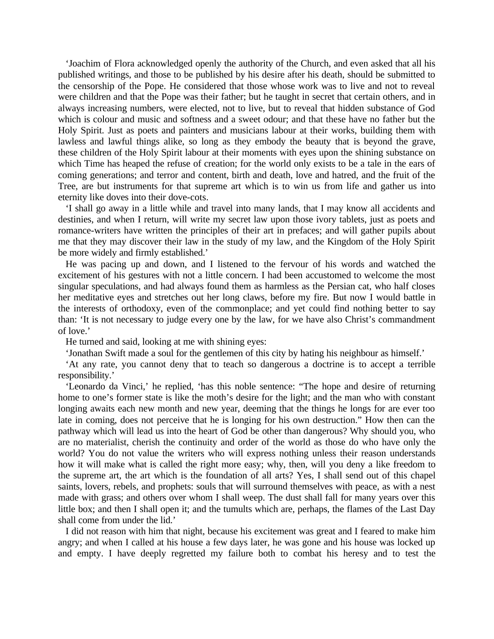'Joachim of Flora acknowledged openly the authority of the Church, and even asked that all his published writings, and those to be published by his desire after his death, should be submitted to the censorship of the Pope. He considered that those whose work was to live and not to reveal were children and that the Pope was their father; but he taught in secret that certain others, and in always increasing numbers, were elected, not to live, but to reveal that hidden substance of God which is colour and music and softness and a sweet odour; and that these have no father but the Holy Spirit. Just as poets and painters and musicians labour at their works, building them with lawless and lawful things alike, so long as they embody the beauty that is beyond the grave, these children of the Holy Spirit labour at their moments with eyes upon the shining substance on which Time has heaped the refuse of creation; for the world only exists to be a tale in the ears of coming generations; and terror and content, birth and death, love and hatred, and the fruit of the Tree, are but instruments for that supreme art which is to win us from life and gather us into eternity like doves into their dove-cots.

'I shall go away in a little while and travel into many lands, that I may know all accidents and destinies, and when I return, will write my secret law upon those ivory tablets, just as poets and romance-writers have written the principles of their art in prefaces; and will gather pupils about me that they may discover their law in the study of my law, and the Kingdom of the Holy Spirit be more widely and firmly established.'

He was pacing up and down, and I listened to the fervour of his words and watched the excitement of his gestures with not a little concern. I had been accustomed to welcome the most singular speculations, and had always found them as harmless as the Persian cat, who half closes her meditative eyes and stretches out her long claws, before my fire. But now I would battle in the interests of orthodoxy, even of the commonplace; and yet could find nothing better to say than: 'It is not necessary to judge every one by the law, for we have also Christ's commandment of love.'

He turned and said, looking at me with shining eyes:

'Jonathan Swift made a soul for the gentlemen of this city by hating his neighbour as himself.'

'At any rate, you cannot deny that to teach so dangerous a doctrine is to accept a terrible responsibility.'

'Leonardo da Vinci,' he replied, 'has this noble sentence: "The hope and desire of returning home to one's former state is like the moth's desire for the light; and the man who with constant longing awaits each new month and new year, deeming that the things he longs for are ever too late in coming, does not perceive that he is longing for his own destruction." How then can the pathway which will lead us into the heart of God be other than dangerous? Why should you, who are no materialist, cherish the continuity and order of the world as those do who have only the world? You do not value the writers who will express nothing unless their reason understands how it will make what is called the right more easy; why, then, will you deny a like freedom to the supreme art, the art which is the foundation of all arts? Yes, I shall send out of this chapel saints, lovers, rebels, and prophets: souls that will surround themselves with peace, as with a nest made with grass; and others over whom I shall weep. The dust shall fall for many years over this little box; and then I shall open it; and the tumults which are, perhaps, the flames of the Last Day shall come from under the lid.'

I did not reason with him that night, because his excitement was great and I feared to make him angry; and when I called at his house a few days later, he was gone and his house was locked up and empty. I have deeply regretted my failure both to combat his heresy and to test the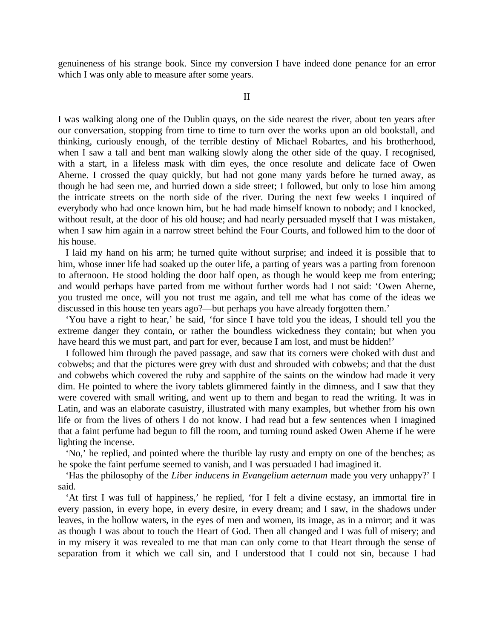genuineness of his strange book. Since my conversion I have indeed done penance for an error which I was only able to measure after some years.

II

I was walking along one of the Dublin quays, on the side nearest the river, about ten years after our conversation, stopping from time to time to turn over the works upon an old bookstall, and thinking, curiously enough, of the terrible destiny of Michael Robartes, and his brotherhood, when I saw a tall and bent man walking slowly along the other side of the quay. I recognised, with a start, in a lifeless mask with dim eyes, the once resolute and delicate face of Owen Aherne. I crossed the quay quickly, but had not gone many yards before he turned away, as though he had seen me, and hurried down a side street; I followed, but only to lose him among the intricate streets on the north side of the river. During the next few weeks I inquired of everybody who had once known him, but he had made himself known to nobody; and I knocked, without result, at the door of his old house; and had nearly persuaded myself that I was mistaken, when I saw him again in a narrow street behind the Four Courts, and followed him to the door of his house.

I laid my hand on his arm; he turned quite without surprise; and indeed it is possible that to him, whose inner life had soaked up the outer life, a parting of years was a parting from forenoon to afternoon. He stood holding the door half open, as though he would keep me from entering; and would perhaps have parted from me without further words had I not said: 'Owen Aherne, you trusted me once, will you not trust me again, and tell me what has come of the ideas we discussed in this house ten years ago?—but perhaps you have already forgotten them.'

'You have a right to hear,' he said, 'for since I have told you the ideas, I should tell you the extreme danger they contain, or rather the boundless wickedness they contain; but when you have heard this we must part, and part for ever, because I am lost, and must be hidden!'

I followed him through the paved passage, and saw that its corners were choked with dust and cobwebs; and that the pictures were grey with dust and shrouded with cobwebs; and that the dust and cobwebs which covered the ruby and sapphire of the saints on the window had made it very dim. He pointed to where the ivory tablets glimmered faintly in the dimness, and I saw that they were covered with small writing, and went up to them and began to read the writing. It was in Latin, and was an elaborate casuistry, illustrated with many examples, but whether from his own life or from the lives of others I do not know. I had read but a few sentences when I imagined that a faint perfume had begun to fill the room, and turning round asked Owen Aherne if he were lighting the incense.

'No,' he replied, and pointed where the thurible lay rusty and empty on one of the benches; as he spoke the faint perfume seemed to vanish, and I was persuaded I had imagined it.

'Has the philosophy of the *Liber inducens in Evangelium aeternum* made you very unhappy?' I said.

'At first I was full of happiness,' he replied, 'for I felt a divine ecstasy, an immortal fire in every passion, in every hope, in every desire, in every dream; and I saw, in the shadows under leaves, in the hollow waters, in the eyes of men and women, its image, as in a mirror; and it was as though I was about to touch the Heart of God. Then all changed and I was full of misery; and in my misery it was revealed to me that man can only come to that Heart through the sense of separation from it which we call sin, and I understood that I could not sin, because I had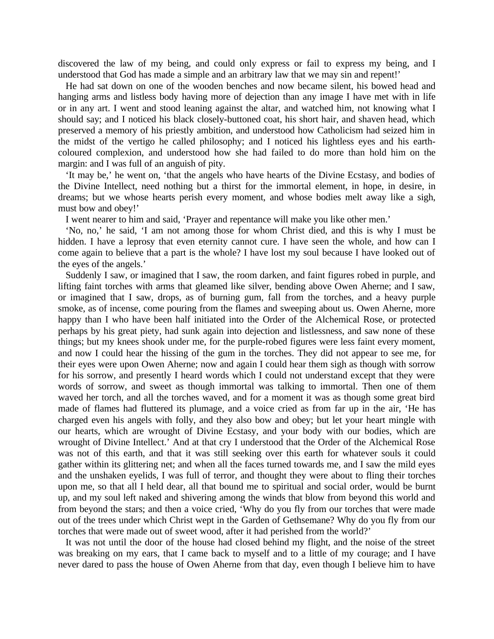discovered the law of my being, and could only express or fail to express my being, and I understood that God has made a simple and an arbitrary law that we may sin and repent!'

He had sat down on one of the wooden benches and now became silent, his bowed head and hanging arms and listless body having more of dejection than any image I have met with in life or in any art. I went and stood leaning against the altar, and watched him, not knowing what I should say; and I noticed his black closely-buttoned coat, his short hair, and shaven head, which preserved a memory of his priestly ambition, and understood how Catholicism had seized him in the midst of the vertigo he called philosophy; and I noticed his lightless eyes and his earthcoloured complexion, and understood how she had failed to do more than hold him on the margin: and I was full of an anguish of pity.

'It may be,' he went on, 'that the angels who have hearts of the Divine Ecstasy, and bodies of the Divine Intellect, need nothing but a thirst for the immortal element, in hope, in desire, in dreams; but we whose hearts perish every moment, and whose bodies melt away like a sigh, must bow and obey!'

I went nearer to him and said, 'Prayer and repentance will make you like other men.'

'No, no,' he said, 'I am not among those for whom Christ died, and this is why I must be hidden. I have a leprosy that even eternity cannot cure. I have seen the whole, and how can I come again to believe that a part is the whole? I have lost my soul because I have looked out of the eyes of the angels.'

Suddenly I saw, or imagined that I saw, the room darken, and faint figures robed in purple, and lifting faint torches with arms that gleamed like silver, bending above Owen Aherne; and I saw, or imagined that I saw, drops, as of burning gum, fall from the torches, and a heavy purple smoke, as of incense, come pouring from the flames and sweeping about us. Owen Aherne, more happy than I who have been half initiated into the Order of the Alchemical Rose, or protected perhaps by his great piety, had sunk again into dejection and listlessness, and saw none of these things; but my knees shook under me, for the purple-robed figures were less faint every moment, and now I could hear the hissing of the gum in the torches. They did not appear to see me, for their eyes were upon Owen Aherne; now and again I could hear them sigh as though with sorrow for his sorrow, and presently I heard words which I could not understand except that they were words of sorrow, and sweet as though immortal was talking to immortal. Then one of them waved her torch, and all the torches waved, and for a moment it was as though some great bird made of flames had fluttered its plumage, and a voice cried as from far up in the air, 'He has charged even his angels with folly, and they also bow and obey; but let your heart mingle with our hearts, which are wrought of Divine Ecstasy, and your body with our bodies, which are wrought of Divine Intellect.' And at that cry I understood that the Order of the Alchemical Rose was not of this earth, and that it was still seeking over this earth for whatever souls it could gather within its glittering net; and when all the faces turned towards me, and I saw the mild eyes and the unshaken eyelids, I was full of terror, and thought they were about to fling their torches upon me, so that all I held dear, all that bound me to spiritual and social order, would be burnt up, and my soul left naked and shivering among the winds that blow from beyond this world and from beyond the stars; and then a voice cried, 'Why do you fly from our torches that were made out of the trees under which Christ wept in the Garden of Gethsemane? Why do you fly from our torches that were made out of sweet wood, after it had perished from the world?'

It was not until the door of the house had closed behind my flight, and the noise of the street was breaking on my ears, that I came back to myself and to a little of my courage; and I have never dared to pass the house of Owen Aherne from that day, even though I believe him to have